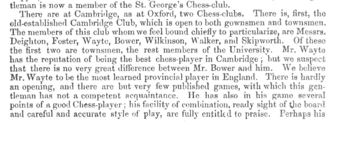tleman is now a member of the St. George's Chess-club.

There are at Cambridge, as at Oxford, two Chess-clubs. There is, first, the old-established Cambridge Club, which is open to both gownsmen and townsmen. The members of this club whom we feel bound chiefly to particularize, are Messrs. Deighton, Foster, Wayte, Bower, Wilkinson, Walker, and Skipworth. Of these the first two are townsmen, the rest members of the University. Mr. Wayte has the reputation of being the best chess-player in Cambridge; but we suspect that there is no very great difference between Mr. Bower and him. We believe Mr. Wayte to be the most learned provincial player in England. There is hardly an opening, and there are but very few published games, with which this gentleman has not a competent acquaintance. He has also in his game several points of a good Chess-player; his facility of combination, ready sight of the board and careful and accurate style of play, are fully entitled to praise. Perhaps his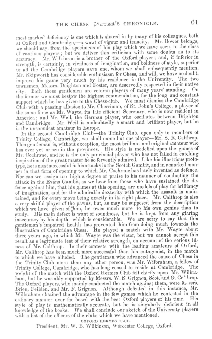most marked deficiency is one which is shared in by many of his colleagues, both at Oxford and Cambridge,--- awant of vigour and tenacity. Mr. Bower belongs, we should say, from the specimens of his play which we have seen, to the class of cautious players; but we deliver this criticism with some doubts as to its accuracy. Mr. Wilkinson is a brother of the Oxford player; and, if inferior in strength, is certainly, in vividness of imagination, and boldness of style, superior to all the Cambridge players save one, whom we shall subsequently mention. Mr. Skipworth has considerable enthusiasm for Chess, and will, we have no doubt, improve his game very much by his residence in the University. The two townsmen, Messrs. Deighton and Foster, are deservedly respected in their native city. Both these gentlemen are veteran players of many years' standing. On the former we must bestow the highest commendation, for the long and constant support which he has given to the Chess-club. We must dismiss the Cambridge Club with a passing allusion to Mr. Cherriman, of St. John's College, a player of the same force as Mr. Wayte, its late efficient Secretary, who is now resident in America; and Mr. Weil, the German player, who oscillates between Brighton and Cambridge. Mr. Weil is undoubtedly a smart and brilliant player, but he is the unsoundest amateur in Europe.

In the second Cambridge Club-the Trinity Club, open only to members of Trinity College, Cambridge, we shall name but one player-Mr. S. R. Calthrop. This gentleman is, without exception, the most brilliant and original amateur who has ever yet arisen in the provinces. His style is modelled upon the games of Mr. Cochrane, and he is the only provincial player who has not failed in catching inspiration of the great master he so fervently admired. Like his illustrious prototype, he is most successful in his attacks in the Scotch Gambit, and in a marked manner in that form of opening to which Mr. Cochrane has lately invented as defence. Nor can we assign too high a degree of praise to his manner of conducting the attack in the Evans Gambit, as we hear from those who have sustained the defence against him, that his games at this opening, are models of play for brilliancy of imagination, and for the admirable dexterity with which the assault is maintained, and for every move being exactly in its right place. Mr. Calthrop is also a very skilful player of the pawns, but, as may be supposed from the description which we have given of him, he owes much more to his own genius than to study. His main defect is want of soundness, but he is kept from any glaring inaccuracy by his depth, which is considerable. We are sorry to say that this gentleman's impaired health has prevented him from doing much towards the illustration of Cambridge Chess. He played a match with Mr. Wayte about three years ago, in which Mr. Wayte was the victor, but we cannot accept this result as a legitimate test of their relative strength, on account of the serious illness of Mr. Calthrop. In their contests with the leading amateurs of Oxford, Mr. Calthrop has been much more successful than his antagonist, in the match to which we have alluded. The gentleman who advanced the cause of Chess in the Trinity Club more than any other person, was Mr. Wilbraham, a fellow of Trinity College, Cambridge, who has long ceased to reside at Cambridge. The weight of the match with the Oxford Hermes Club fell chiefly upon Mr. Wilbraham, but he was ably supported by Messrs. W. S. Grignon, Scot, and G. Ce' 'hrop. The Oxford players, who mainly conducted the match against them, were hossrs. Brien, Feilden. and Mr. F. Grignon. Although defeated in this instance, Mr. Wilbraham obtained the advantage in the few games which he contested in the ordinary manner over the board with the best Oxford players of his time. His style of play is mathematically accurate, but he is singularly deficient in all knowledge of the books. We shall conclude our sketch of the University players with a list of the officers of the clubs which we have mentioned.

OXFORD HERMES CLUB.

President, Mr. W. B. Wilkinson, Worcester College, Oxford.